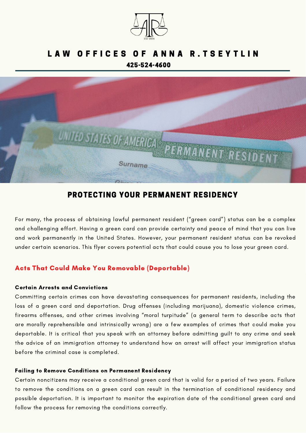

# LAW OFFICES OF ANNA R.TSEYTLIN 425-524-4600



# PROTECTING YOUR PERMANENT RESIDENCY

For many, the process of obtaining lawful permanent resident ("green card") status can be a complex and challenging effort. Having a green card can provide certainty and peace of mind that you can live and work permanently in the United States. However, your permanent resident status can be revoked under certain scenarios. This flyer covers potential acts that could cause you to lose your green card.

## Acts That Could Make You Removable (Deportable)

## Certain Arrests and Convictions

Committing certain crimes can have devastating consequences for permanent residents, including the loss of a green card and deportation. Drug offenses (including marijuana), domestic violence crimes, firearms offenses, and other crimes involving "moral turpitude" (a general term to describe acts that are morally reprehensible and intrinsically wrong) are a few examples of crimes that could make you deportable. It is critical that you speak with an attorney before admitting guilt to any crime and seek the advice of an immigration attorney to understand how an arrest will affect your immigration status before the criminal case is completed.

### Failing to Remove Conditions on Permanent Residency

Certain noncitizens may receive a conditional green card that is valid for a period of two years. Failure to remove the conditions on a green card can result in the termination of conditional residency and possible deportation. It is important to monitor the expiration date of the conditional green card and follow the process for removing the conditions correctly.